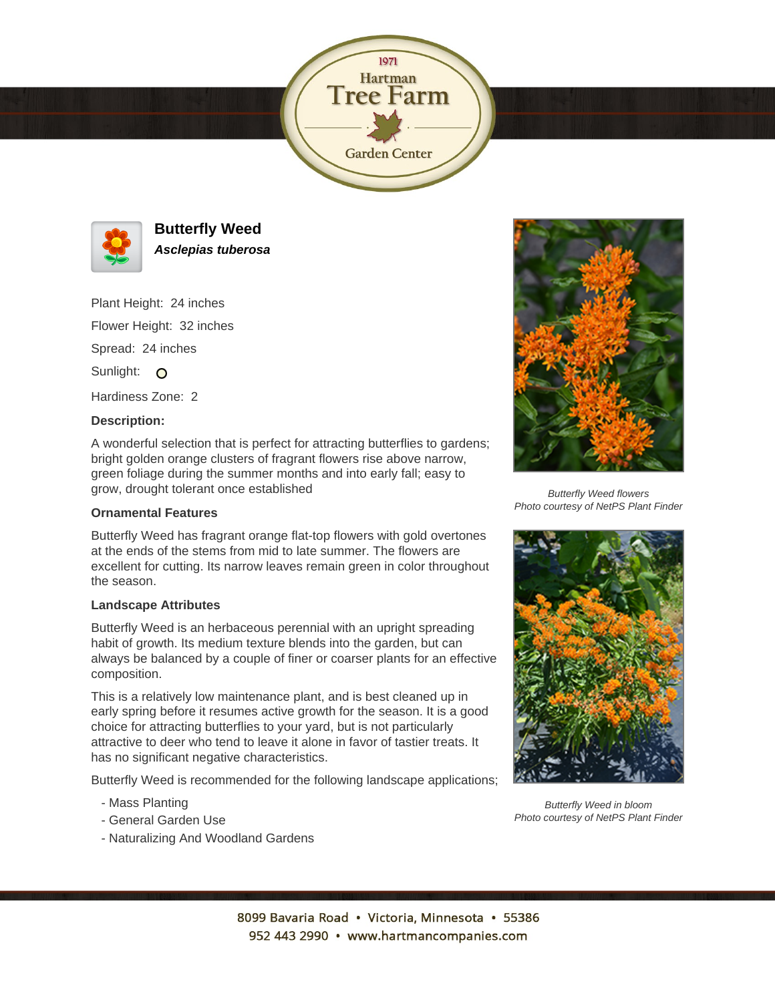



**Butterfly Weed Asclepias tuberosa**

Plant Height: 24 inches Flower Height: 32 inches Spread: 24 inches Sunlight: O Hardiness Zone: 2

## **Description:**

A wonderful selection that is perfect for attracting butterflies to gardens; bright golden orange clusters of fragrant flowers rise above narrow, green foliage during the summer months and into early fall; easy to grow, drought tolerant once established

## **Ornamental Features**

Butterfly Weed has fragrant orange flat-top flowers with gold overtones at the ends of the stems from mid to late summer. The flowers are excellent for cutting. Its narrow leaves remain green in color throughout the season.

## **Landscape Attributes**

Butterfly Weed is an herbaceous perennial with an upright spreading habit of growth. Its medium texture blends into the garden, but can always be balanced by a couple of finer or coarser plants for an effective composition.

This is a relatively low maintenance plant, and is best cleaned up in early spring before it resumes active growth for the season. It is a good choice for attracting butterflies to your yard, but is not particularly attractive to deer who tend to leave it alone in favor of tastier treats. It has no significant negative characteristics.

Butterfly Weed is recommended for the following landscape applications;

- Mass Planting
- General Garden Use
- Naturalizing And Woodland Gardens



Butterfly Weed flowers Photo courtesy of NetPS Plant Finder



Butterfly Weed in bloom Photo courtesy of NetPS Plant Finder